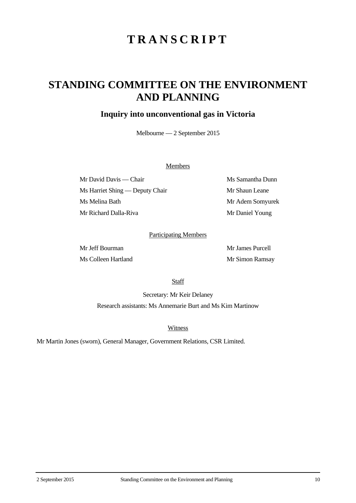# **TRANSCRIPT**

## **STANDING COMMITTEE ON THE ENVIRONMENT AND PLANNING**

### **Inquiry into unconventional gas in Victoria**

Melbourne — 2 September 2015

#### **Members**

Mr David Davis — Chair Ms Samantha Dunn Ms Harriet Shing — Deputy Chair Mr Shaun Leane Ms Melina Bath Mr Adem Somyurek Mr Richard Dalla-Riva Mr Daniel Young

#### Participating Members

Mr Jeff Bourman Mr James Purcell Ms Colleen Hartland Mr Simon Ramsay

**Staff** 

Secretary: Mr Keir Delaney Research assistants: Ms Annemarie Burt and Ms Kim Martinow

**Witness** 

Mr Martin Jones (sworn), General Manager, Government Relations, CSR Limited.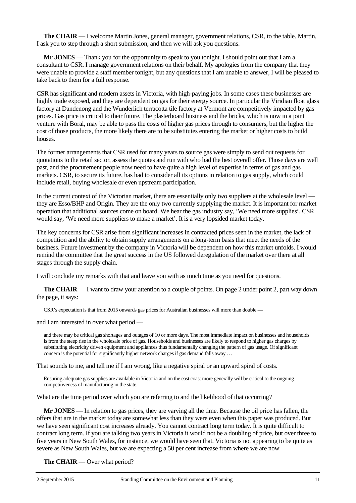**The CHAIR** — I welcome Martin Jones, general manager, government relations, CSR, to the table. Martin, I ask you to step through a short submission, and then we will ask you questions.

**Mr JONES** — Thank you for the opportunity to speak to you tonight. I should point out that I am a consultant to CSR. I manage government relations on their behalf. My apologies from the company that they were unable to provide a staff member tonight, but any questions that I am unable to answer, I will be pleased to take back to them for a full response.

CSR has significant and modern assets in Victoria, with high-paying jobs. In some cases these businesses are highly trade exposed, and they are dependent on gas for their energy source. In particular the Viridian float glass factory at Dandenong and the Wunderlich terracotta tile factory at Vermont are competitively impacted by gas prices. Gas price is critical to their future. The plasterboard business and the bricks, which is now in a joint venture with Boral, may be able to pass the costs of higher gas prices through to consumers, but the higher the cost of those products, the more likely there are to be substitutes entering the market or higher costs to build houses.

The former arrangements that CSR used for many years to source gas were simply to send out requests for quotations to the retail sector, assess the quotes and run with who had the best overall offer. Those days are well past, and the procurement people now need to have quite a high level of expertise in terms of gas and gas markets. CSR, to secure its future, has had to consider all its options in relation to gas supply, which could include retail, buying wholesale or even upstream participation.

In the current context of the Victorian market, there are essentially only two suppliers at the wholesale level they are Esso/BHP and Origin. They are the only two currently supplying the market. It is important for market operation that additional sources come on board. We hear the gas industry say, 'We need more supplies'. CSR would say, 'We need more suppliers to make a market'. It is a very lopsided market today.

The key concerns for CSR arise from significant increases in contracted prices seen in the market, the lack of competition and the ability to obtain supply arrangements on a long-term basis that meet the needs of the business. Future investment by the company in Victoria will be dependent on how this market unfolds. I would remind the committee that the great success in the US followed deregulation of the market over there at all stages through the supply chain.

I will conclude my remarks with that and leave you with as much time as you need for questions.

**The CHAIR** — I want to draw your attention to a couple of points. On page 2 under point 2, part way down the page, it says:

CSR's expectation is that from 2015 onwards gas prices for Australian businesses will more than double —

and I am interested in over what period —

and there may be critical gas shortages and outages of 10 or more days. The most immediate impact on businesses and households is from the steep rise in the wholesale price of gas. Households and businesses are likely to respond to higher gas charges by substituting electricity driven equipment and appliances thus fundamentally changing the pattern of gas usage. Of significant concern is the potential for significantly higher network charges if gas demand falls away …

That sounds to me, and tell me if I am wrong, like a negative spiral or an upward spiral of costs.

Ensuring adequate gas supplies are available in Victoria and on the east coast more generally will be critical to the ongoing competitiveness of manufacturing in the state.

What are the time period over which you are referring to and the likelihood of that occurring?

**Mr JONES** — In relation to gas prices, they are varying all the time. Because the oil price has fallen, the offers that are in the market today are somewhat less than they were even when this paper was produced. But we have seen significant cost increases already. You cannot contract long term today. It is quite difficult to contract long term. If you are talking two years in Victoria it would not be a doubling of price, but over three to five years in New South Wales, for instance, we would have seen that. Victoria is not appearing to be quite as severe as New South Wales, but we are expecting a 50 per cent increase from where we are now.

**The CHAIR** — Over what period?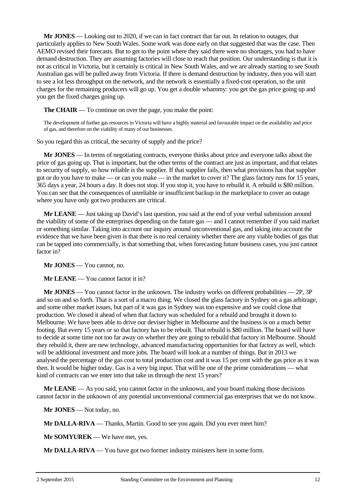**Mr JONES** — Looking out to 2020, if we can in fact contract that far out. In relation to outages, that particularly applies to New South Wales. Some work was done early on that suggested that was the case. Then AEMO revised their forecasts. But to get to the point where they said there were no shortages, you had to have demand destruction. They are assuming factories will close to reach that position. Our understanding is that it is not as critical in Victoria, but it certainly is critical in New South Wales, and we are already starting to see South Australian gas will be pulled away from Victoria. If there is demand destruction by industry, then you will start to see a lot less throughput on the network, and the network is essentially a fixed-cost operation, so the unit charges for the remaining producers will go up. You get a double whammy: you get the gas price going up and you get the fixed charges going up.

**The CHAIR** — To continue on over the page, you make the point:

The development of further gas resources in Victoria will have a highly material and favourable impact on the availability and price of gas, and therefore on the viability of many of our businesses.

So you regard this as critical, the security of supply and the price?

**Mr JONES** — In terms of negotiating contracts, everyone thinks about price and everyone talks about the price of gas going up. That is important, but the other terms of the contract are just as important, and that relates to security of supply, so how reliable is the supplier. If that supplier fails, then what provisions has that supplier got or do you have to make — or can you make — in the market to cover it? The glass factory runs for 15 years, 365 days a year, 24 hours a day. It does not stop. If you stop it, you have to rebuild it. A rebuild is \$80 million. You can see that the consequences of unreliable or insufficient backup in the marketplace to cover an outage where you have only got two producers are critical.

**Mr LEANE** — Just taking up David's last question, you said at the end of your verbal submission around the viability of some of the enterprises depending on the future gas — and I cannot remember if you said market or something similar. Taking into account our inquiry around unconventional gas, and taking into account the evidence that we have been given is that there is no real certainty whether there are any viable bodies of gas that can be tapped into commercially, is that something that, when forecasting future business cases, you just cannot factor in?

**Mr JONES** — You cannot, no.

**Mr LEANE** — You cannot factor it in?

**Mr JONES** — You cannot factor in the unknown. The industry works on different probabilities — 2P, 3P and so on and so forth. That is a sort of a macro thing. We closed the glass factory in Sydney on a gas arbitrage, and some other market issues, but part of it was gas in Sydney was too expensive and we could close that production. We closed it ahead of when that factory was scheduled for a rebuild and brought it down to Melbourne. We have been able to drive our deviser higher in Melbourne and the business is on a much better footing. But every 15 years or so that factory has to be rebuilt. That rebuild is \$80 million. The board will have to decide at some time not too far away on whether they are going to rebuild that factory in Melbourne. Should they rebuild it, there are new technology, advanced manufacturing opportunities for that factory as well, which will be additional investment and more jobs. The board will look at a number of things. But in 2013 we analysed the percentage of the gas cost to total production cost and it was 15 per cent with the gas price as it was then. It would be higher today. Gas is a very big input. That will be one of the prime considerations — what kind of contracts can we enter into that take us through the next 15 years?

**Mr LEANE** — As you said, you cannot factor in the unknown, and your board making those decisions cannot factor in the unknown of any potential unconventional commercial gas enterprises that we do not know.

**Mr JONES** — Not today, no.

**Mr DALLA-RIVA** — Thanks, Martin. Good to see you again. Did you ever meet him?

**Mr SOMYUREK** — We have met, yes.

**Mr DALLA-RIVA** — You have got two former industry ministers here in some form.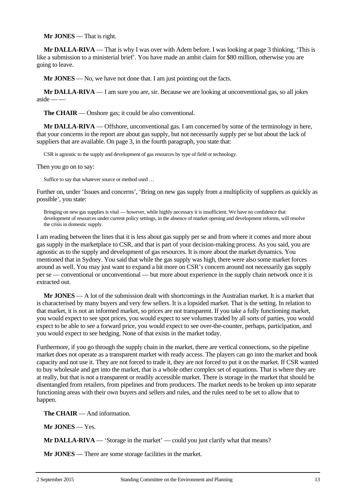**Mr JONES** — That is right.

**Mr DALLA-RIVA** — That is why I was over with Adem before. I was looking at page 3 thinking, 'This is like a submission to a ministerial brief'. You have made an ambit claim for \$80 million, otherwise you are going to leave.

**Mr JONES** — No, we have not done that. I am just pointing out the facts.

**Mr DALLA-RIVA** — I am sure you are, sir. Because we are looking at unconventional gas, so all jokes  $aside$  — —

**The CHAIR** — Onshore gas; it could be also conventional.

**Mr DALLA-RIVA** — Offshore, unconventional gas. I am concerned by some of the terminology in here, that your concerns in the report are about gas supply, but not necessarily supply per se but about the lack of suppliers that are available. On page 3, in the fourth paragraph, you state that:

CSR is agnostic to the supply and development of gas resources by type of field or technology.

Then you go on to say:

Suffice to say that whatever source or method used …

Further on, under 'Issues and concerns', 'Bring on new gas supply from a multiplicity of suppliers as quickly as possible', you state:

Bringing on new gas supplies is vital — however, while highly necessary it is insufficient. We have no confidence that development of resources under current policy settings, in the absence of market opening and development reforms, will resolve the crisis in domestic supply.

I am reading between the lines that it is less about gas supply per se and from where it comes and more about gas supply in the marketplace to CSR, and that is part of your decision-making process. As you said, you are agnostic as to the supply and development of gas resources. It is more about the market dynamics. You mentioned that in Sydney. You said that while the gas supply was high, there were also some market forces around as well. You may just want to expand a bit more on CSR's concern around not necessarily gas supply per se — conventional or unconventional — but more about experience in the supply chain network once it is extracted out.

**Mr JONES** — A lot of the submission dealt with shortcomings in the Australian market. It is a market that is characterised by many buyers and very few sellers. It is a lopsided market. That is the setting. In relation to that market, it is not an informed market, so prices are not transparent. If you take a fully functioning market, you would expect to see spot prices, you would expect to see volumes traded by all sorts of parties, you would expect to be able to see a forward price, you would expect to see over-the-counter, perhaps, participation, and you would expect to see hedging. None of that exists in the market today.

Furthermore, if you go through the supply chain in the market, there are vertical connections, so the pipeline market does not operate as a transparent market with ready access. The players can go into the market and book capacity and not use it. They are not forced to trade it, they are not forced to put it on the market. If CSR wanted to buy wholesale and get into the market, that is a whole other complex set of equations. That is where they are at really, but that is not a transparent or readily accessible market. There is storage in the market that should be disentangled from retailers, from pipelines and from producers. The market needs to be broken up into separate functioning areas with their own buyers and sellers and rules, and the rules need to be set to allow that to happen.

**The CHAIR** — And information.

**Mr JONES** — Yes.

**Mr DALLA-RIVA** — 'Storage in the market' — could you just clarify what that means?

**Mr JONES** — There are some storage facilities in the market.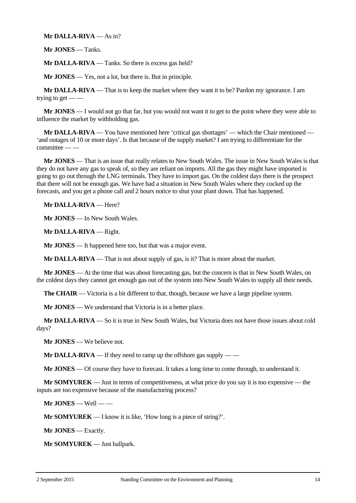#### **Mr DALLA-RIVA** — As in?

**Mr JONES** — Tanks.

**Mr DALLA-RIVA** — Tanks. So there is excess gas held?

**Mr JONES** — Yes, not a lot, but there is. But in principle.

**Mr DALLA-RIVA** — That is to keep the market where they want it to be? Pardon my ignorance. I am trying to get  $-$  –

**Mr JONES** — I would not go that far, but you would not want it to get to the point where they were able to influence the market by withholding gas.

**Mr DALLA-RIVA** — You have mentioned here 'critical gas shortages' — which the Chair mentioned — 'and outages of 10 or more days'. Is that because of the supply market? I am trying to differentiate for the  $committe$ e $-$ 

**Mr JONES** — That is an issue that really relates to New South Wales. The issue in New South Wales is that they do not have any gas to speak of, so they are reliant on imports. All the gas they might have imported is going to go out through the LNG terminals. They have to import gas. On the coldest days there is the prospect that there will not be enough gas. We have had a situation in New South Wales where they cocked up the forecasts, and you get a phone call and 2 hours notice to shut your plant down. That has happened.

**Mr DALLA-RIVA** — Here?

**Mr JONES** — In New South Wales.

**Mr DALLA-RIVA** — Right.

**Mr JONES** — It happened here too, but that was a major event.

**Mr DALLA-RIVA** — That is not about supply of gas, is it? That is more about the market.

**Mr JONES** — At the time that was about forecasting gas, but the concern is that in New South Wales, on the coldest days they cannot get enough gas out of the system into New South Wales to supply all their needs.

**The CHAIR** — Victoria is a bit different to that, though, because we have a large pipeline system.

**Mr JONES** — We understand that Victoria is in a better place.

**Mr DALLA-RIVA** — So it is true in New South Wales, but Victoria does not have those issues about cold days?

**Mr JONES** — We believe not.

**Mr DALLA-RIVA** — If they need to ramp up the offshore gas supply — —

**Mr JONES** — Of course they have to forecast. It takes a long time to come through, to understand it.

**Mr SOMYUREK** — Just in terms of competitiveness, at what price do you say it is too expensive — the inputs are too expensive because of the manufacturing process?

**Mr JONES** — Well — —

**Mr SOMYUREK** — I know it is like, 'How long is a piece of string?'.

**Mr JONES** — Exactly.

**Mr SOMYUREK** — Just ballpark.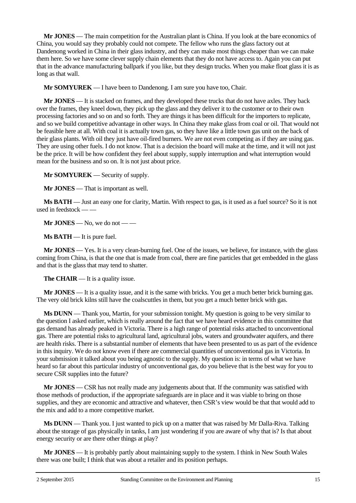**Mr JONES** — The main competition for the Australian plant is China. If you look at the bare economics of China, you would say they probably could not compete. The fellow who runs the glass factory out at Dandenong worked in China in their glass industry, and they can make most things cheaper than we can make them here. So we have some clever supply chain elements that they do not have access to. Again you can put that in the advance manufacturing ballpark if you like, but they design trucks. When you make float glass it is as long as that wall.

**Mr SOMYUREK** — I have been to Dandenong. I am sure you have too, Chair.

**Mr JONES** — It is stacked on frames, and they developed these trucks that do not have axles. They back over the frames, they kneel down, they pick up the glass and they deliver it to the customer or to their own processing factories and so on and so forth. They are things it has been difficult for the importers to replicate, and so we build competitive advantage in other ways. In China they make glass from coal or oil. That would not be feasible here at all. With coal it is actually town gas, so they have like a little town gas unit on the back of their glass plants. With oil they just have oil-fired burners. We are not even competing as if they are using gas. They are using other fuels. I do not know. That is a decision the board will make at the time, and it will not just be the price. It will be how confident they feel about supply, supply interruption and what interruption would mean for the business and so on. It is not just about price.

**Mr SOMYUREK** — Security of supply.

**Mr JONES** — That is important as well.

**Ms BATH** — Just an easy one for clarity, Martin. With respect to gas, is it used as a fuel source? So it is not used in feedstock — —

**Mr JONES** — No, we do not — —

**Ms BATH** — It is pure fuel.

**Mr JONES** — Yes. It is a very clean-burning fuel. One of the issues, we believe, for instance, with the glass coming from China, is that the one that is made from coal, there are fine particles that get embedded in the glass and that is the glass that may tend to shatter.

**The CHAIR** — It is a quality issue.

**Mr JONES** — It is a quality issue, and it is the same with bricks. You get a much better brick burning gas. The very old brick kilns still have the coalscuttles in them, but you get a much better brick with gas.

**Ms DUNN** — Thank you, Martin, for your submission tonight. My question is going to be very similar to the question I asked earlier, which is really around the fact that we have heard evidence in this committee that gas demand has already peaked in Victoria. There is a high range of potential risks attached to unconventional gas. There are potential risks to agricultural land, agricultural jobs, waters and groundwater aquifers, and there are health risks. There is a substantial number of elements that have been presented to us as part of the evidence in this inquiry. We do not know even if there are commercial quantities of unconventional gas in Victoria. In your submission it talked about you being agnostic to the supply. My question is: in terms of what we have heard so far about this particular industry of unconventional gas, do you believe that is the best way for you to secure CSR supplies into the future?

**Mr JONES** — CSR has not really made any judgements about that. If the community was satisfied with those methods of production, if the appropriate safeguards are in place and it was viable to bring on those supplies, and they are economic and attractive and whatever, then CSR's view would be that that would add to the mix and add to a more competitive market.

**Ms DUNN** — Thank you. I just wanted to pick up on a matter that was raised by Mr Dalla-Riva. Talking about the storage of gas physically in tanks, I am just wondering if you are aware of why that is? Is that about energy security or are there other things at play?

**Mr JONES** — It is probably partly about maintaining supply to the system. I think in New South Wales there was one built; I think that was about a retailer and its position perhaps.